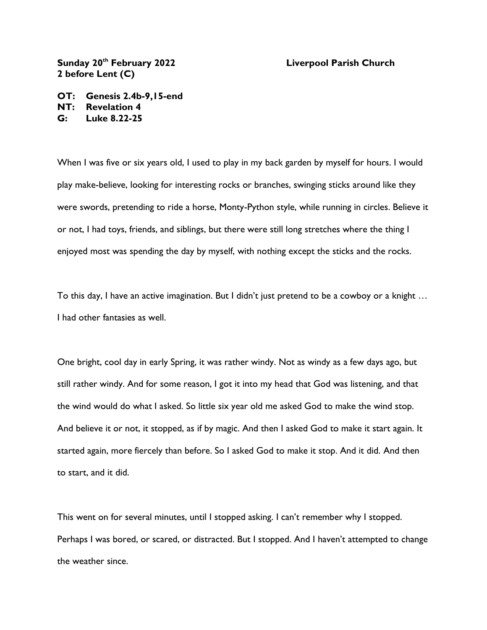**Sunday 20th February 2022 Liverpool Parish Church 2 before Lent (C)**

**OT: Genesis 2.4b-9,15-end NT: Revelation 4 G: Luke 8.22-25**

When I was five or six years old, I used to play in my back garden by myself for hours. I would play make-believe, looking for interesting rocks or branches, swinging sticks around like they were swords, pretending to ride a horse, Monty-Python style, while running in circles. Believe it or not, I had toys, friends, and siblings, but there were still long stretches where the thing I enjoyed most was spending the day by myself, with nothing except the sticks and the rocks.

To this day, I have an active imagination. But I didn't just pretend to be a cowboy or a knight … I had other fantasies as well.

One bright, cool day in early Spring, it was rather windy. Not as windy as a few days ago, but still rather windy. And for some reason, I got it into my head that God was listening, and that the wind would do what I asked. So little six year old me asked God to make the wind stop. And believe it or not, it stopped, as if by magic. And then I asked God to make it start again. It started again, more fiercely than before. So I asked God to make it stop. And it did. And then to start, and it did.

This went on for several minutes, until I stopped asking. I can't remember why I stopped. Perhaps I was bored, or scared, or distracted. But I stopped. And I haven't attempted to change the weather since.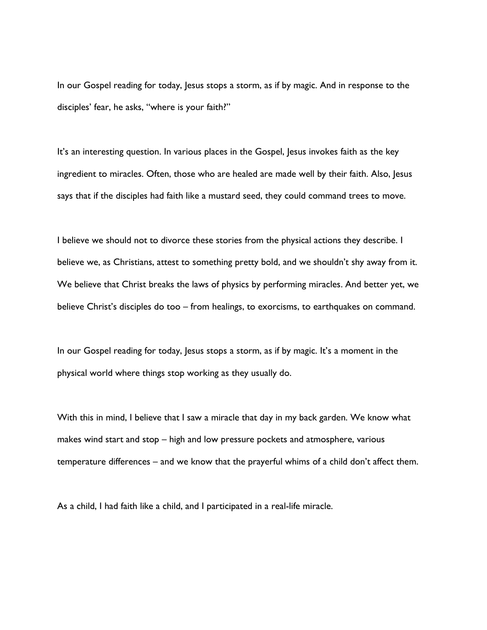In our Gospel reading for today, Jesus stops a storm, as if by magic. And in response to the disciples' fear, he asks, "where is your faith?"

It's an interesting question. In various places in the Gospel, Jesus invokes faith as the key ingredient to miracles. Often, those who are healed are made well by their faith. Also, Jesus says that if the disciples had faith like a mustard seed, they could command trees to move.

I believe we should not to divorce these stories from the physical actions they describe. I believe we, as Christians, attest to something pretty bold, and we shouldn't shy away from it. We believe that Christ breaks the laws of physics by performing miracles. And better yet, we believe Christ's disciples do too – from healings, to exorcisms, to earthquakes on command.

In our Gospel reading for today, Jesus stops a storm, as if by magic. It's a moment in the physical world where things stop working as they usually do.

With this in mind, I believe that I saw a miracle that day in my back garden. We know what makes wind start and stop – high and low pressure pockets and atmosphere, various temperature differences – and we know that the prayerful whims of a child don't affect them.

As a child, I had faith like a child, and I participated in a real-life miracle.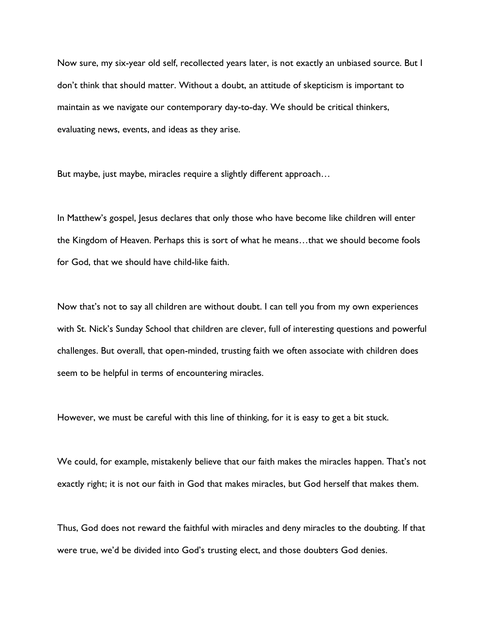Now sure, my six-year old self, recollected years later, is not exactly an unbiased source. But I don't think that should matter. Without a doubt, an attitude of skepticism is important to maintain as we navigate our contemporary day-to-day. We should be critical thinkers, evaluating news, events, and ideas as they arise.

But maybe, just maybe, miracles require a slightly different approach…

In Matthew's gospel, Jesus declares that only those who have become like children will enter the Kingdom of Heaven. Perhaps this is sort of what he means…that we should become fools for God, that we should have child-like faith.

Now that's not to say all children are without doubt. I can tell you from my own experiences with St. Nick's Sunday School that children are clever, full of interesting questions and powerful challenges. But overall, that open-minded, trusting faith we often associate with children does seem to be helpful in terms of encountering miracles.

However, we must be careful with this line of thinking, for it is easy to get a bit stuck.

We could, for example, mistakenly believe that our faith makes the miracles happen. That's not exactly right; it is not our faith in God that makes miracles, but God herself that makes them.

Thus, God does not reward the faithful with miracles and deny miracles to the doubting. If that were true, we'd be divided into God's trusting elect, and those doubters God denies.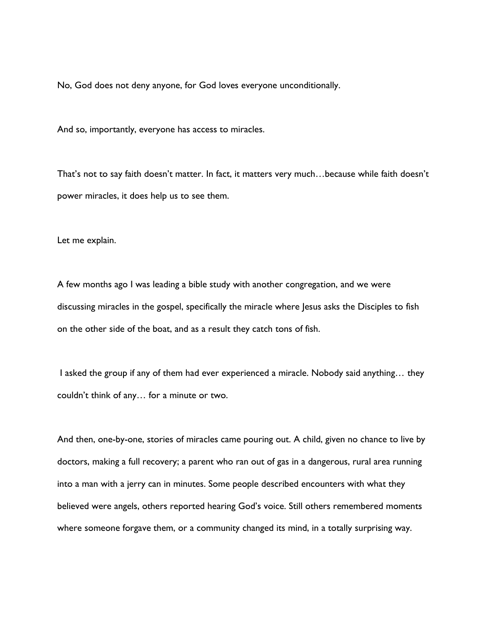No, God does not deny anyone, for God loves everyone unconditionally.

And so, importantly, everyone has access to miracles.

That's not to say faith doesn't matter. In fact, it matters very much…because while faith doesn't power miracles, it does help us to see them.

Let me explain.

A few months ago I was leading a bible study with another congregation, and we were discussing miracles in the gospel, specifically the miracle where Jesus asks the Disciples to fish on the other side of the boat, and as a result they catch tons of fish.

I asked the group if any of them had ever experienced a miracle. Nobody said anything… they couldn't think of any… for a minute or two.

And then, one-by-one, stories of miracles came pouring out. A child, given no chance to live by doctors, making a full recovery; a parent who ran out of gas in a dangerous, rural area running into a man with a jerry can in minutes. Some people described encounters with what they believed were angels, others reported hearing God's voice. Still others remembered moments where someone forgave them, or a community changed its mind, in a totally surprising way.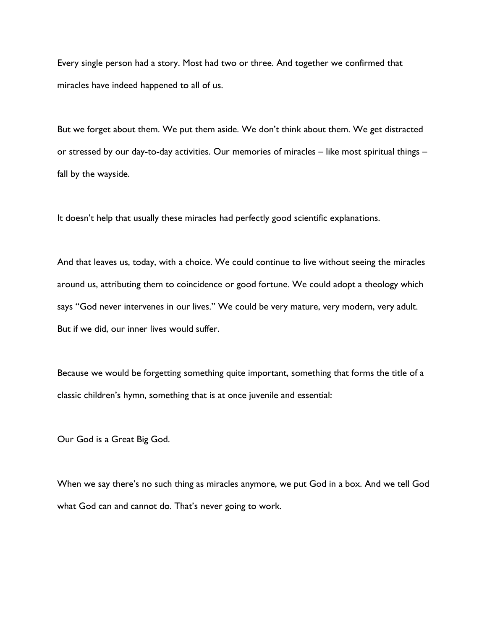Every single person had a story. Most had two or three. And together we confirmed that miracles have indeed happened to all of us.

But we forget about them. We put them aside. We don't think about them. We get distracted or stressed by our day-to-day activities. Our memories of miracles – like most spiritual things – fall by the wayside.

It doesn't help that usually these miracles had perfectly good scientific explanations.

And that leaves us, today, with a choice. We could continue to live without seeing the miracles around us, attributing them to coincidence or good fortune. We could adopt a theology which says "God never intervenes in our lives." We could be very mature, very modern, very adult. But if we did, our inner lives would suffer.

Because we would be forgetting something quite important, something that forms the title of a classic children's hymn, something that is at once juvenile and essential:

Our God is a Great Big God.

When we say there's no such thing as miracles anymore, we put God in a box. And we tell God what God can and cannot do. That's never going to work.